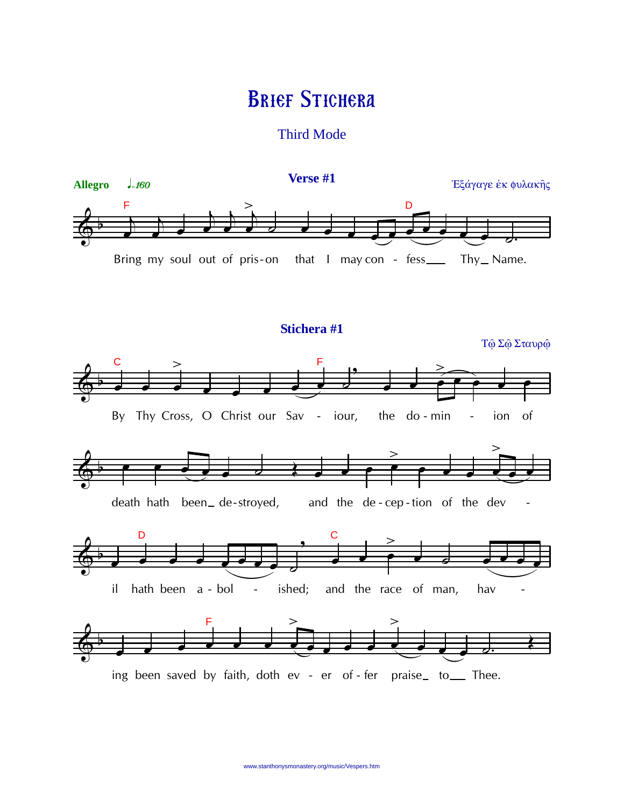## **BRIEF STICHERA**

**Third Mode** 

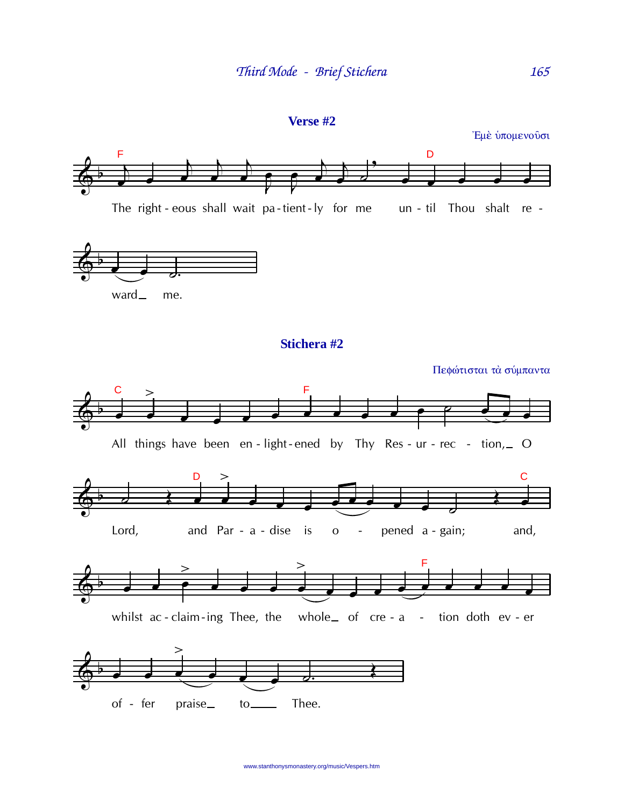

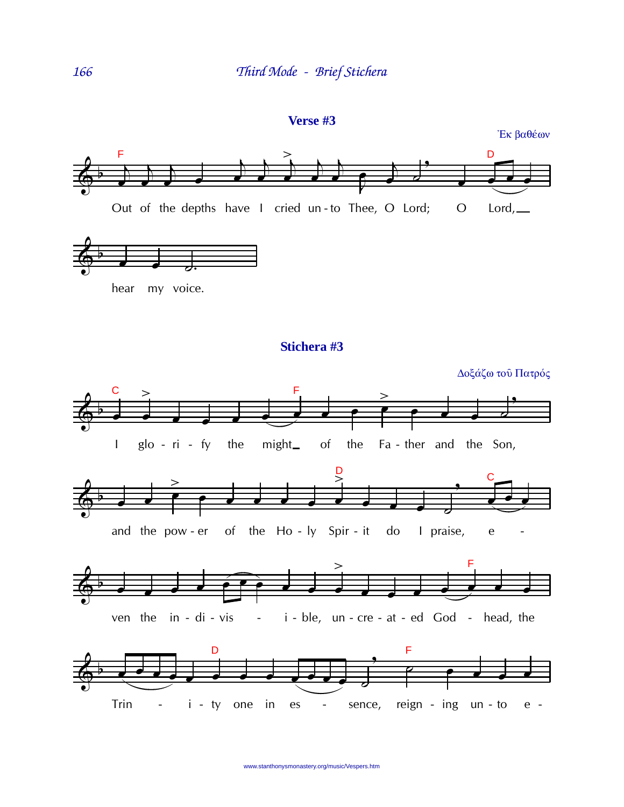

Έκ βαθέων



www.stanthonysmonastery.org/music/Vespers.htm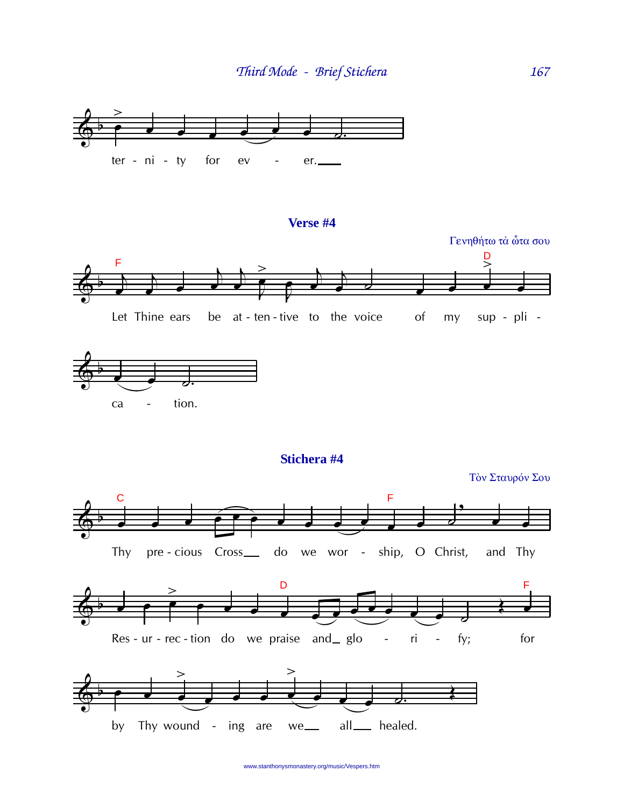

## **Verse #4**





**Stichera #4**

Τὸν Σταυρόν Σου







www.stanthonysmonastery.org/music/Vespers.htm

167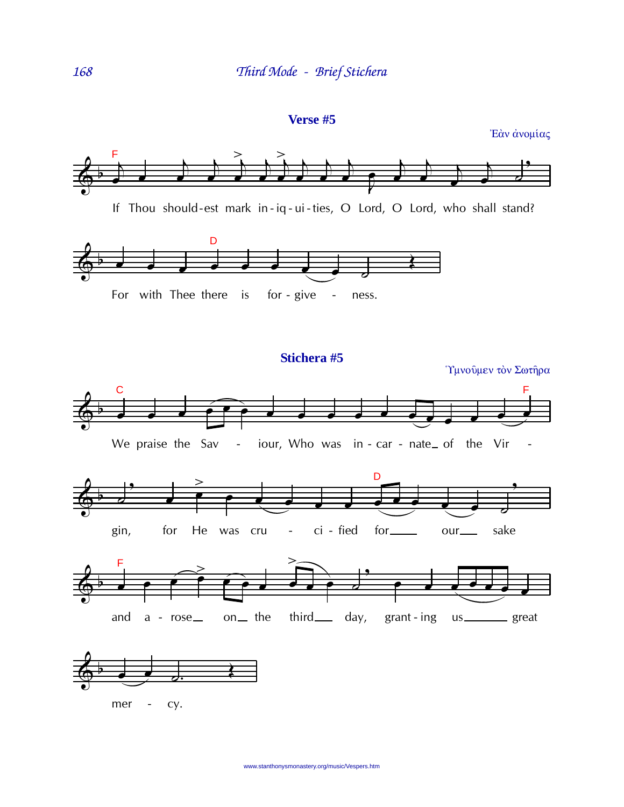```
Verse #5
```
Έάν άνομίας

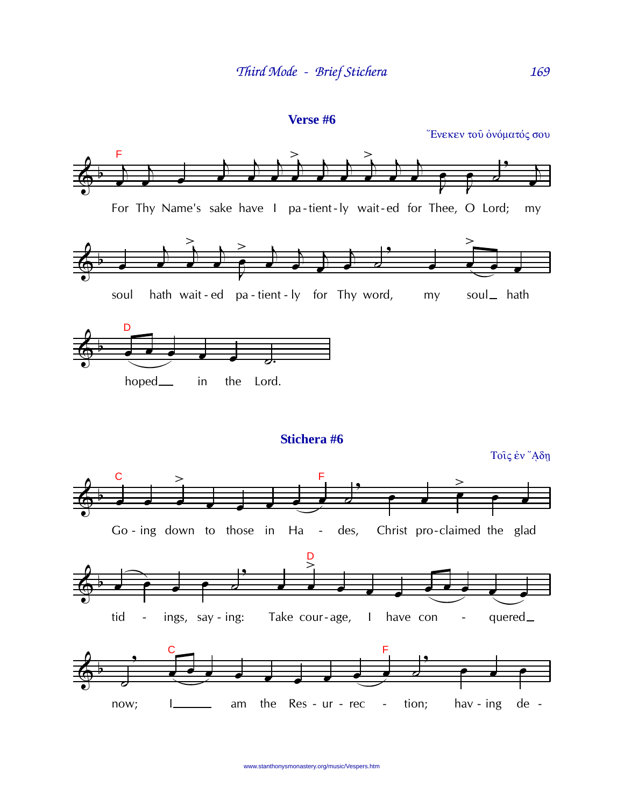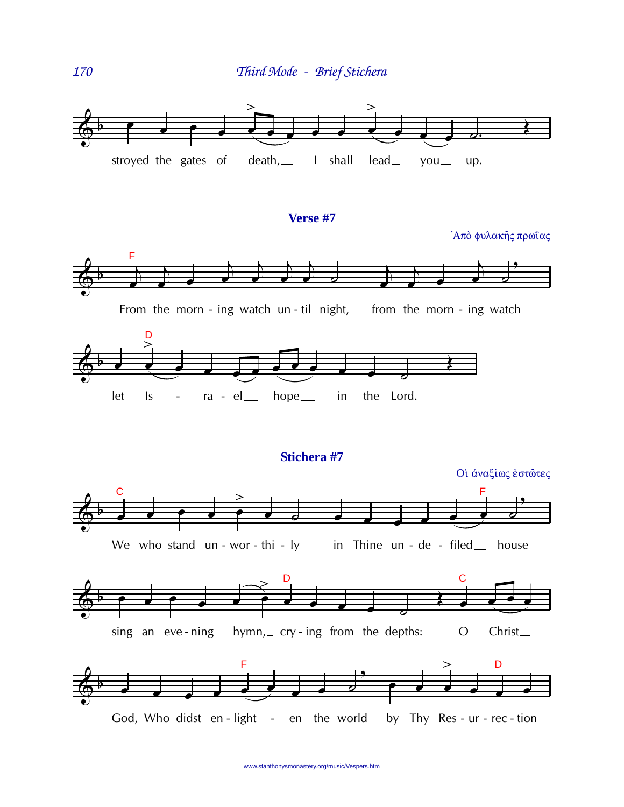

## Verse #7

Άπὸ φυλακής πρωΐας

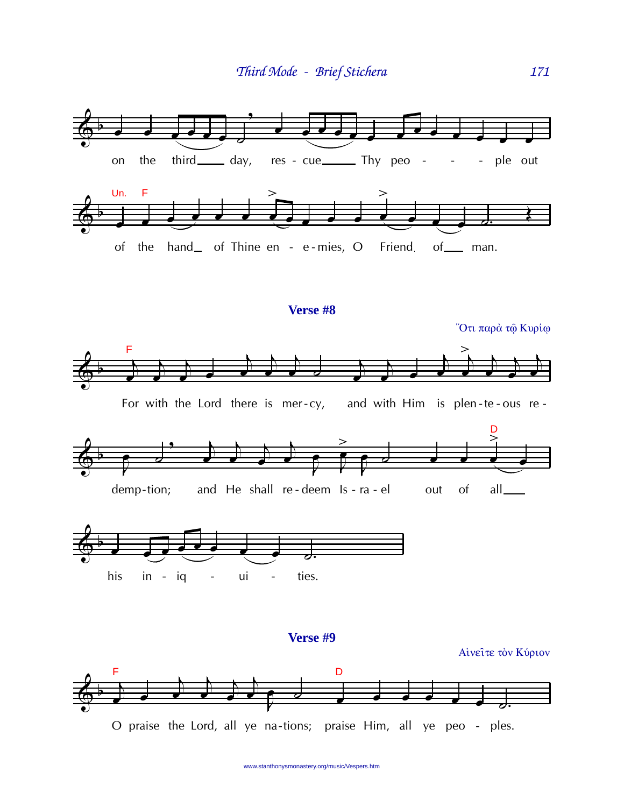

www.stanthonysmonastery.org/music/Vespers.htm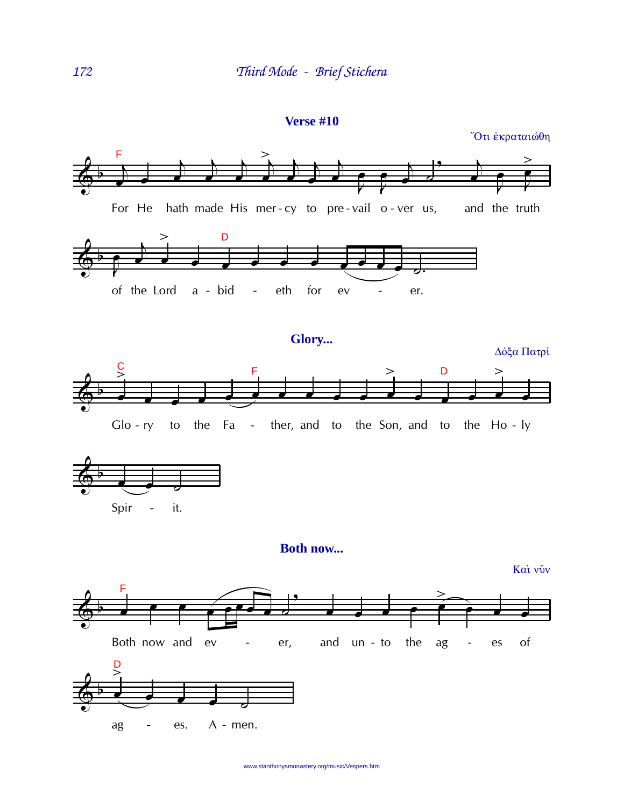

Ότι έκραταιώθη





**Both now...** 

Καὶ νῦν

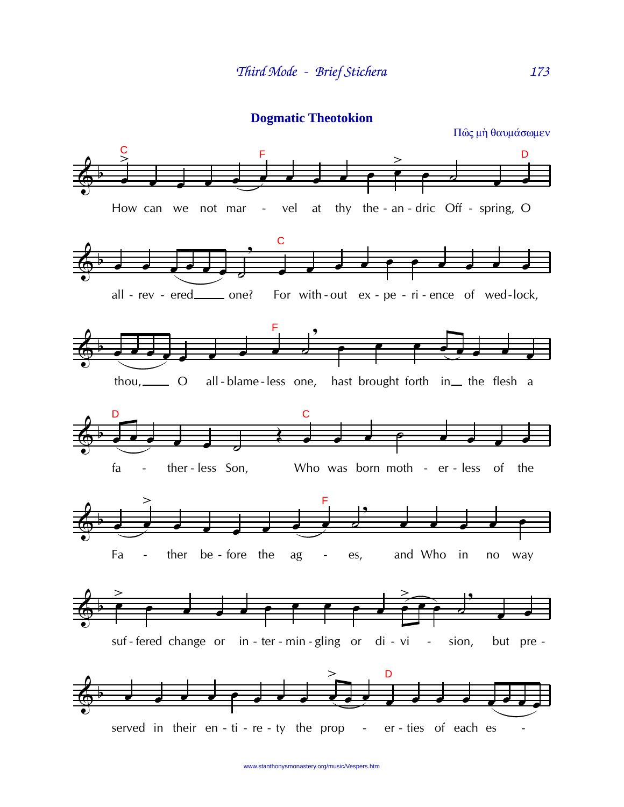**Dogmatic Theotokion**